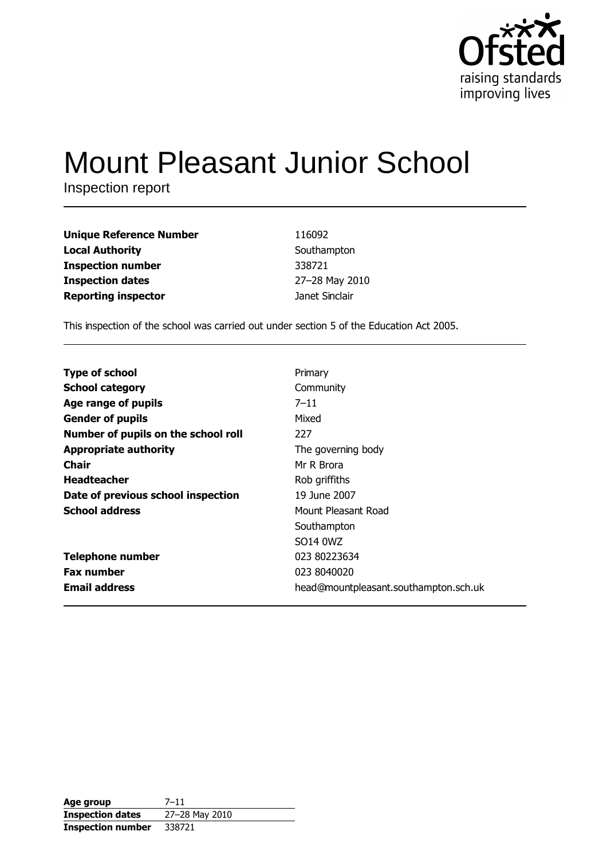

# **Mount Pleasant Junior School**

Inspection report

| <b>Unique Reference Number</b> | 116092         |
|--------------------------------|----------------|
| <b>Local Authority</b>         | Southampton    |
| <b>Inspection number</b>       | 338721         |
| <b>Inspection dates</b>        | 27-28 May 2010 |
| <b>Reporting inspector</b>     | Janet Sinclair |

This inspection of the school was carried out under section 5 of the Education Act 2005.

| <b>Type of school</b>               | Primary                                      |
|-------------------------------------|----------------------------------------------|
| <b>School category</b>              | Community                                    |
| Age range of pupils                 | $7 - 11$                                     |
| <b>Gender of pupils</b>             | Mixed                                        |
| Number of pupils on the school roll | 227                                          |
| <b>Appropriate authority</b>        | The governing body                           |
| Chair                               | Mr R Brora                                   |
| <b>Headteacher</b>                  | Rob griffiths                                |
| Date of previous school inspection  | 19 June 2007                                 |
| <b>School address</b>               | Mount Pleasant Road                          |
|                                     | Southampton                                  |
|                                     | SO <sub>14</sub> <sub>0</sub> W <sub>Z</sub> |
| <b>Telephone number</b>             | 023 80223634                                 |
| <b>Fax number</b>                   | 023 8040020                                  |
| <b>Email address</b>                | head@mountpleasant.southampton.sch.uk        |

| Age group                | $7 - 11$       |
|--------------------------|----------------|
| <b>Inspection dates</b>  | 27-28 May 2010 |
| <b>Inspection number</b> | 338721         |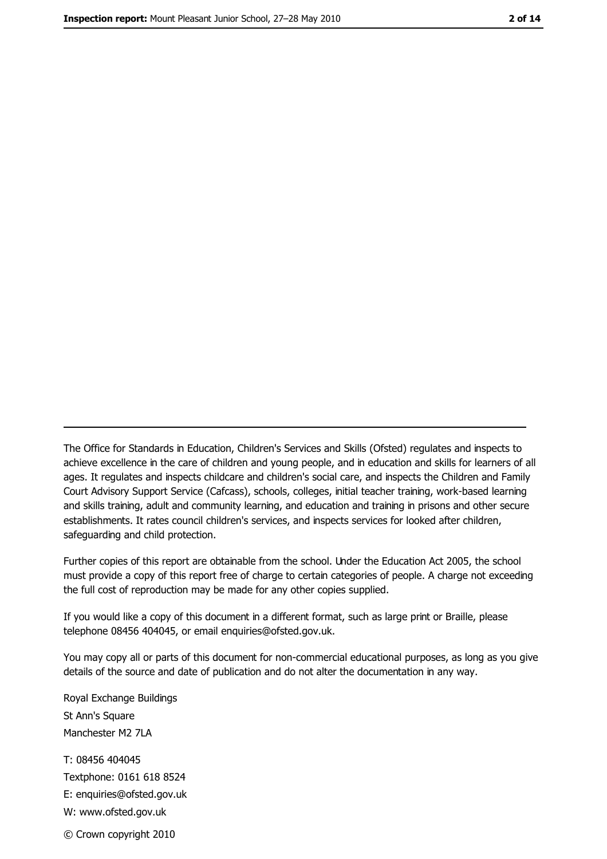The Office for Standards in Education, Children's Services and Skills (Ofsted) regulates and inspects to achieve excellence in the care of children and young people, and in education and skills for learners of all ages. It regulates and inspects childcare and children's social care, and inspects the Children and Family Court Advisory Support Service (Cafcass), schools, colleges, initial teacher training, work-based learning and skills training, adult and community learning, and education and training in prisons and other secure establishments. It rates council children's services, and inspects services for looked after children, safequarding and child protection.

Further copies of this report are obtainable from the school. Under the Education Act 2005, the school must provide a copy of this report free of charge to certain categories of people. A charge not exceeding the full cost of reproduction may be made for any other copies supplied.

If you would like a copy of this document in a different format, such as large print or Braille, please telephone 08456 404045, or email enquiries@ofsted.gov.uk.

You may copy all or parts of this document for non-commercial educational purposes, as long as you give details of the source and date of publication and do not alter the documentation in any way.

Royal Exchange Buildings St Ann's Square Manchester M2 7LA T: 08456 404045 Textphone: 0161 618 8524 E: enquiries@ofsted.gov.uk W: www.ofsted.gov.uk © Crown copyright 2010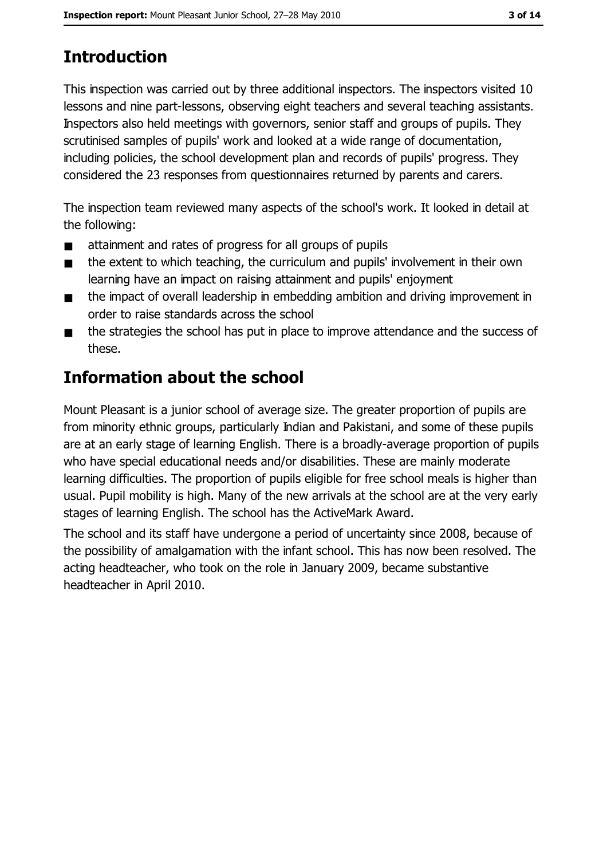# **Introduction**

This inspection was carried out by three additional inspectors. The inspectors visited 10 lessons and nine part-lessons, observing eight teachers and several teaching assistants. Inspectors also held meetings with governors, senior staff and groups of pupils. They scrutinised samples of pupils' work and looked at a wide range of documentation, including policies, the school development plan and records of pupils' progress. They considered the 23 responses from questionnaires returned by parents and carers.

The inspection team reviewed many aspects of the school's work. It looked in detail at the following:

- attainment and rates of progress for all groups of pupils  $\blacksquare$
- the extent to which teaching, the curriculum and pupils' involvement in their own  $\blacksquare$ learning have an impact on raising attainment and pupils' enjoyment
- the impact of overall leadership in embedding ambition and driving improvement in  $\blacksquare$ order to raise standards across the school
- the strategies the school has put in place to improve attendance and the success of  $\blacksquare$ these.

# **Information about the school**

Mount Pleasant is a junior school of average size. The greater proportion of pupils are from minority ethnic groups, particularly Indian and Pakistani, and some of these pupils are at an early stage of learning English. There is a broadly-average proportion of pupils who have special educational needs and/or disabilities. These are mainly moderate learning difficulties. The proportion of pupils eligible for free school meals is higher than usual. Pupil mobility is high. Many of the new arrivals at the school are at the very early stages of learning English. The school has the ActiveMark Award.

The school and its staff have undergone a period of uncertainty since 2008, because of the possibility of amalgamation with the infant school. This has now been resolved. The acting headteacher, who took on the role in January 2009, became substantive headteacher in April 2010.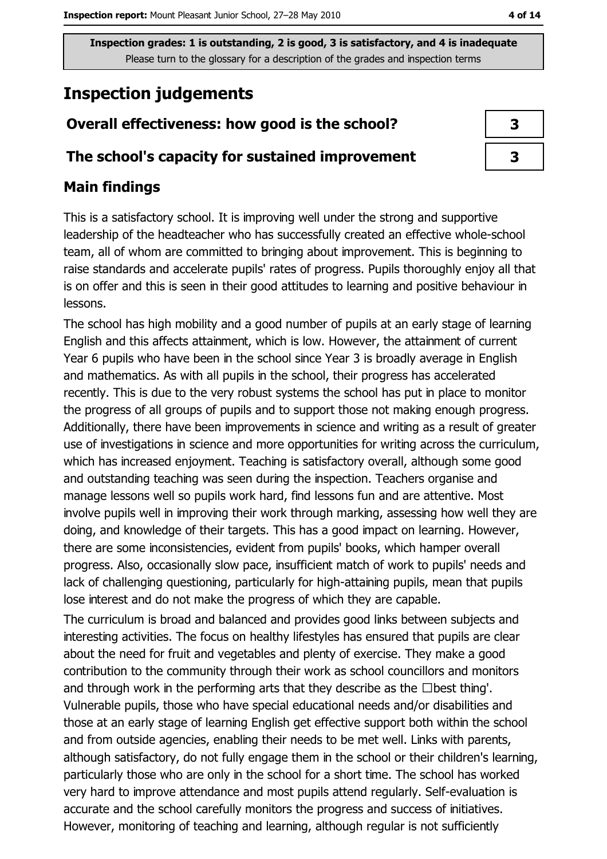# **Inspection judgements**

# Overall effectiveness: how good is the school?

### The school's capacity for sustained improvement

# **Main findings**

This is a satisfactory school. It is improving well under the strong and supportive leadership of the headteacher who has successfully created an effective whole-school team, all of whom are committed to bringing about improvement. This is beginning to raise standards and accelerate pupils' rates of progress. Pupils thoroughly enjoy all that is on offer and this is seen in their good attitudes to learning and positive behaviour in lessons.

The school has high mobility and a good number of pupils at an early stage of learning English and this affects attainment, which is low. However, the attainment of current Year 6 pupils who have been in the school since Year 3 is broadly average in English and mathematics. As with all pupils in the school, their progress has accelerated recently. This is due to the very robust systems the school has put in place to monitor the progress of all groups of pupils and to support those not making enough progress. Additionally, there have been improvements in science and writing as a result of greater use of investigations in science and more opportunities for writing across the curriculum, which has increased enjoyment. Teaching is satisfactory overall, although some good and outstanding teaching was seen during the inspection. Teachers organise and manage lessons well so pupils work hard, find lessons fun and are attentive. Most involve pupils well in improving their work through marking, assessing how well they are doing, and knowledge of their targets. This has a good impact on learning. However, there are some inconsistencies, evident from pupils' books, which hamper overall progress. Also, occasionally slow pace, insufficient match of work to pupils' needs and lack of challenging questioning, particularly for high-attaining pupils, mean that pupils lose interest and do not make the progress of which they are capable.

The curriculum is broad and balanced and provides good links between subjects and interesting activities. The focus on healthy lifestyles has ensured that pupils are clear about the need for fruit and vegetables and plenty of exercise. They make a good contribution to the community through their work as school councillors and monitors and through work in the performing arts that they describe as the  $\Box$  best thing'. Vulnerable pupils, those who have special educational needs and/or disabilities and those at an early stage of learning English get effective support both within the school and from outside agencies, enabling their needs to be met well. Links with parents, although satisfactory, do not fully engage them in the school or their children's learning, particularly those who are only in the school for a short time. The school has worked very hard to improve attendance and most pupils attend regularly. Self-evaluation is accurate and the school carefully monitors the progress and success of initiatives. However, monitoring of teaching and learning, although regular is not sufficiently

| 3 |  |
|---|--|
| 3 |  |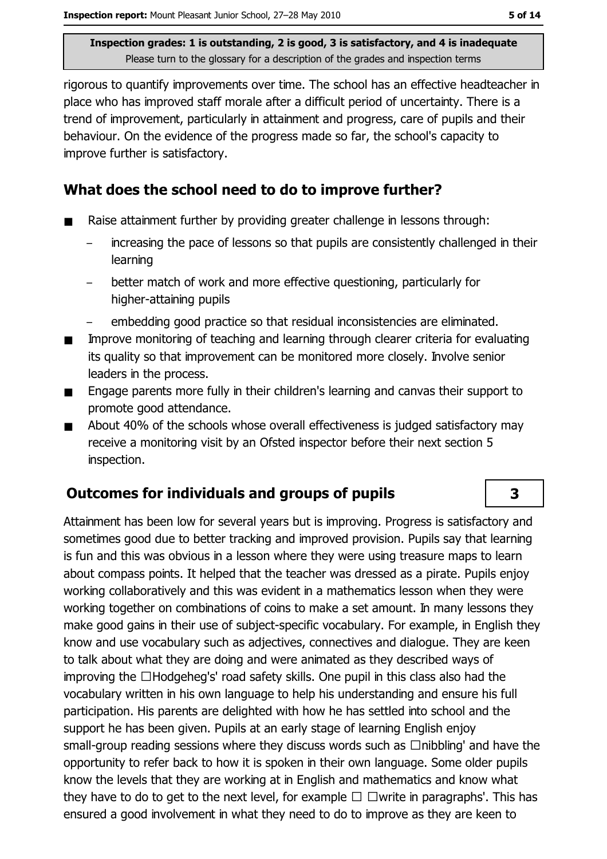rigorous to quantify improvements over time. The school has an effective headteacher in place who has improved staff morale after a difficult period of uncertainty. There is a trend of improvement, particularly in attainment and progress, care of pupils and their behaviour. On the evidence of the progress made so far, the school's capacity to improve further is satisfactory.

### What does the school need to do to improve further?

- Raise attainment further by providing greater challenge in lessons through:
	- increasing the pace of lessons so that pupils are consistently challenged in their learning
	- better match of work and more effective questioning, particularly for  $\equiv$ higher-attaining pupils
	- embedding good practice so that residual inconsistencies are eliminated.
- Improve monitoring of teaching and learning through clearer criteria for evaluating  $\blacksquare$ its quality so that improvement can be monitored more closely. Involve senior leaders in the process.
- Engage parents more fully in their children's learning and canvas their support to  $\blacksquare$ promote good attendance.
- About 40% of the schools whose overall effectiveness is judged satisfactory may  $\blacksquare$ receive a monitoring visit by an Ofsted inspector before their next section 5 inspection.

# **Outcomes for individuals and groups of pupils**

Attainment has been low for several years but is improving. Progress is satisfactory and sometimes good due to better tracking and improved provision. Pupils say that learning is fun and this was obvious in a lesson where they were using treasure maps to learn about compass points. It helped that the teacher was dressed as a pirate. Pupils enjoy working collaboratively and this was evident in a mathematics lesson when they were working together on combinations of coins to make a set amount. In many lessons they make good gains in their use of subject-specific vocabulary. For example, in English they know and use vocabulary such as adiectives, connectives and dialogue. They are keen to talk about what they are doing and were animated as they described ways of improving the □Hodgeheg's' road safety skills. One pupil in this class also had the vocabulary written in his own language to help his understanding and ensure his full participation. His parents are delighted with how he has settled into school and the support he has been given. Pupils at an early stage of learning English enjoy small-group reading sessions where they discuss words such as  $\Box$ nibbling' and have the opportunity to refer back to how it is spoken in their own language. Some older pupils know the levels that they are working at in English and mathematics and know what they have to do to get to the next level, for example  $\Box$   $\Box$  write in paragraphs'. This has ensured a good involvement in what they need to do to improve as they are keen to

3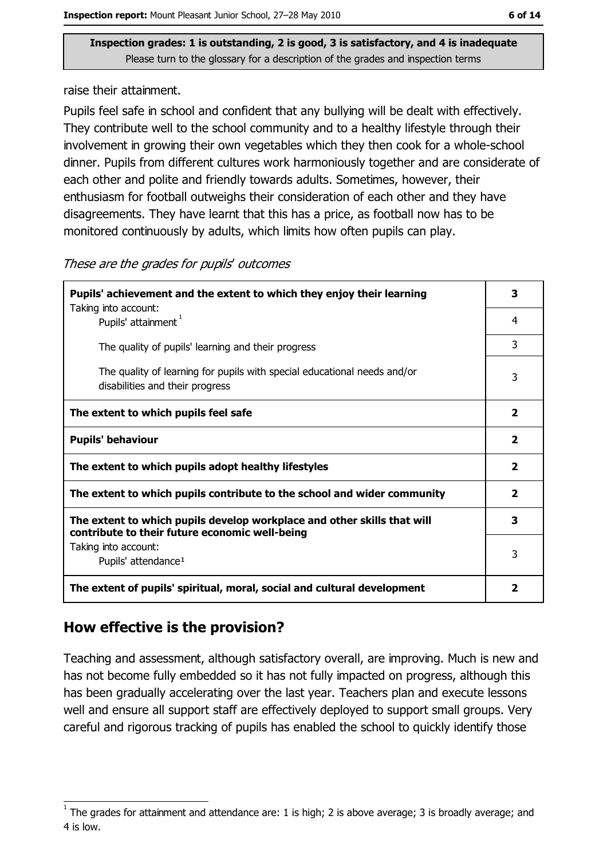raise their attainment.

Pupils feel safe in school and confident that any bullying will be dealt with effectively. They contribute well to the school community and to a healthy lifestyle through their involvement in growing their own vegetables which they then cook for a whole-school dinner. Pupils from different cultures work harmoniously together and are considerate of each other and polite and friendly towards adults. Sometimes, however, their enthusiasm for football outweighs their consideration of each other and they have disagreements. They have learnt that this has a price, as football now has to be monitored continuously by adults, which limits how often pupils can play.

| Pupils' achievement and the extent to which they enjoy their learning                                                     |                         |  |
|---------------------------------------------------------------------------------------------------------------------------|-------------------------|--|
| Taking into account:<br>Pupils' attainment <sup>1</sup>                                                                   | 4                       |  |
| The quality of pupils' learning and their progress                                                                        | 3                       |  |
| The quality of learning for pupils with special educational needs and/or<br>disabilities and their progress               | 3                       |  |
| The extent to which pupils feel safe                                                                                      | $\overline{\mathbf{2}}$ |  |
| <b>Pupils' behaviour</b>                                                                                                  | $\overline{\mathbf{2}}$ |  |
| The extent to which pupils adopt healthy lifestyles                                                                       | $\overline{\mathbf{2}}$ |  |
| The extent to which pupils contribute to the school and wider community                                                   | $\overline{2}$          |  |
| The extent to which pupils develop workplace and other skills that will<br>contribute to their future economic well-being | 3                       |  |
| Taking into account:<br>Pupils' attendance <sup>1</sup>                                                                   | 3                       |  |
| The extent of pupils' spiritual, moral, social and cultural development                                                   | $\mathbf{2}$            |  |

# How effective is the provision?

Teaching and assessment, although satisfactory overall, are improving. Much is new and has not become fully embedded so it has not fully impacted on progress, although this has been gradually accelerating over the last year. Teachers plan and execute lessons well and ensure all support staff are effectively deployed to support small groups. Very careful and rigorous tracking of pupils has enabled the school to quickly identify those

The grades for attainment and attendance are: 1 is high; 2 is above average; 3 is broadly average; and 4 is low.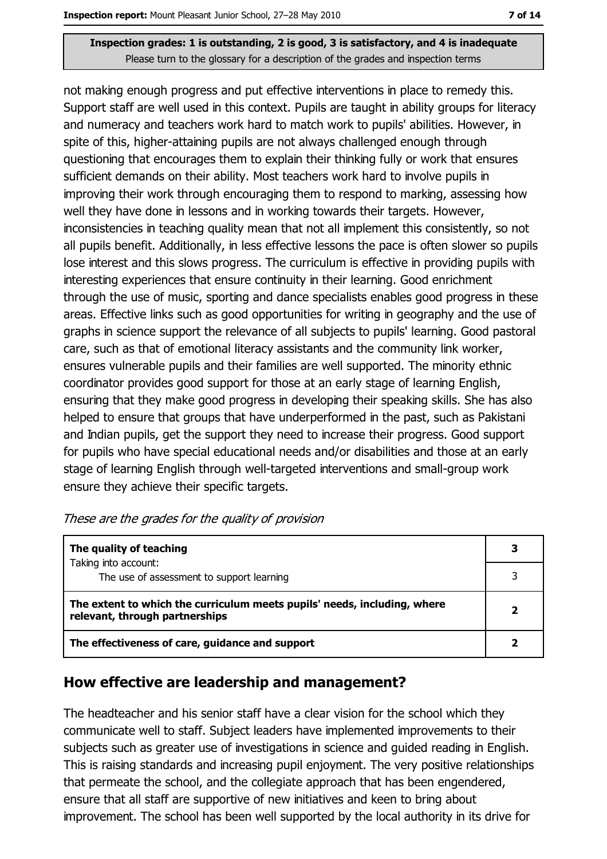not making enough progress and put effective interventions in place to remedy this. Support staff are well used in this context. Pupils are taught in ability groups for literacy and numeracy and teachers work hard to match work to pupils' abilities. However, in spite of this, higher-attaining pupils are not always challenged enough through questioning that encourages them to explain their thinking fully or work that ensures sufficient demands on their ability. Most teachers work hard to involve pupils in improving their work through encouraging them to respond to marking, assessing how well they have done in lessons and in working towards their targets. However, inconsistencies in teaching quality mean that not all implement this consistently, so not all pupils benefit. Additionally, in less effective lessons the pace is often slower so pupils lose interest and this slows progress. The curriculum is effective in providing pupils with interesting experiences that ensure continuity in their learning. Good enrichment through the use of music, sporting and dance specialists enables good progress in these areas. Effective links such as good opportunities for writing in geography and the use of graphs in science support the relevance of all subjects to pupils' learning. Good pastoral care, such as that of emotional literacy assistants and the community link worker, ensures vulnerable pupils and their families are well supported. The minority ethnic coordinator provides good support for those at an early stage of learning English, ensuring that they make good progress in developing their speaking skills. She has also helped to ensure that groups that have underperformed in the past, such as Pakistani and Indian pupils, get the support they need to increase their progress. Good support for pupils who have special educational needs and/or disabilities and those at an early stage of learning English through well-targeted interventions and small-group work ensure they achieve their specific targets.

| These are the grades for the quality of provision |  |  |  |
|---------------------------------------------------|--|--|--|
|---------------------------------------------------|--|--|--|

| The quality of teaching                                                                                    |  |
|------------------------------------------------------------------------------------------------------------|--|
| Taking into account:<br>The use of assessment to support learning                                          |  |
| The extent to which the curriculum meets pupils' needs, including, where<br>relevant, through partnerships |  |
| The effectiveness of care, guidance and support                                                            |  |

### How effective are leadership and management?

The headteacher and his senior staff have a clear vision for the school which they communicate well to staff. Subject leaders have implemented improvements to their subjects such as greater use of investigations in science and guided reading in English. This is raising standards and increasing pupil enjoyment. The very positive relationships that permeate the school, and the collegiate approach that has been engendered, ensure that all staff are supportive of new initiatives and keen to bring about improvement. The school has been well supported by the local authority in its drive for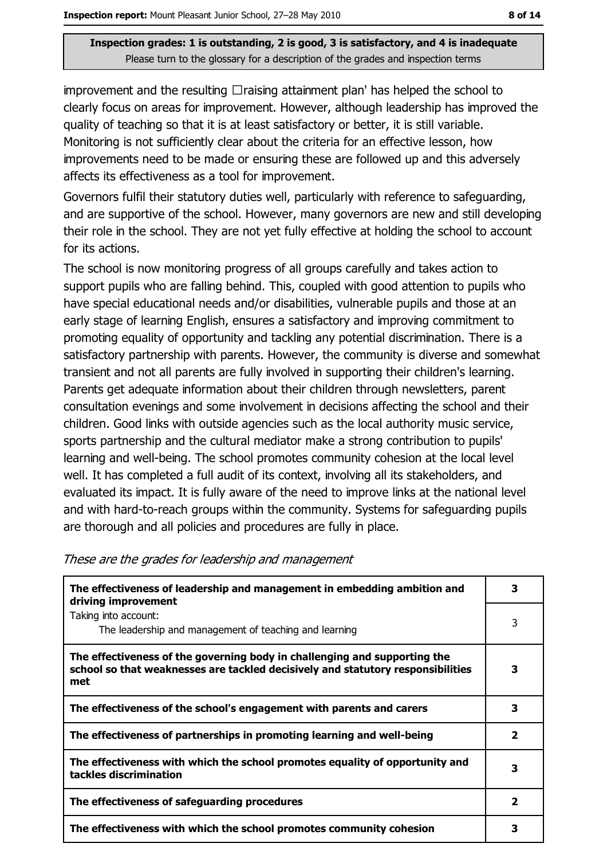improvement and the resulting  $\Box$ raising attainment plan' has helped the school to clearly focus on areas for improvement. However, although leadership has improved the quality of teaching so that it is at least satisfactory or better, it is still variable. Monitoring is not sufficiently clear about the criteria for an effective lesson, how improvements need to be made or ensuring these are followed up and this adversely affects its effectiveness as a tool for improvement.

Governors fulfil their statutory duties well, particularly with reference to safequarding, and are supportive of the school. However, many governors are new and still developing their role in the school. They are not yet fully effective at holding the school to account for its actions.

The school is now monitoring progress of all groups carefully and takes action to support pupils who are falling behind. This, coupled with good attention to pupils who have special educational needs and/or disabilities, vulnerable pupils and those at an early stage of learning English, ensures a satisfactory and improving commitment to promoting equality of opportunity and tackling any potential discrimination. There is a satisfactory partnership with parents. However, the community is diverse and somewhat transient and not all parents are fully involved in supporting their children's learning. Parents get adequate information about their children through newsletters, parent consultation evenings and some involvement in decisions affecting the school and their children. Good links with outside agencies such as the local authority music service, sports partnership and the cultural mediator make a strong contribution to pupils' learning and well-being. The school promotes community cohesion at the local level well. It has completed a full audit of its context, involving all its stakeholders, and evaluated its impact. It is fully aware of the need to improve links at the national level and with hard-to-reach groups within the community. Systems for safeguarding pupils are thorough and all policies and procedures are fully in place.

| The effectiveness of leadership and management in embedding ambition and<br>driving improvement                                                                     | 3                       |
|---------------------------------------------------------------------------------------------------------------------------------------------------------------------|-------------------------|
| Taking into account:<br>The leadership and management of teaching and learning                                                                                      | 3                       |
| The effectiveness of the governing body in challenging and supporting the<br>school so that weaknesses are tackled decisively and statutory responsibilities<br>met | 3                       |
| The effectiveness of the school's engagement with parents and carers                                                                                                | 3                       |
| The effectiveness of partnerships in promoting learning and well-being                                                                                              | $\overline{\mathbf{2}}$ |
| The effectiveness with which the school promotes equality of opportunity and<br>tackles discrimination                                                              | з                       |
| The effectiveness of safeguarding procedures                                                                                                                        | $\overline{\mathbf{2}}$ |
| The effectiveness with which the school promotes community cohesion                                                                                                 | 3                       |

#### These are the grades for leadership and management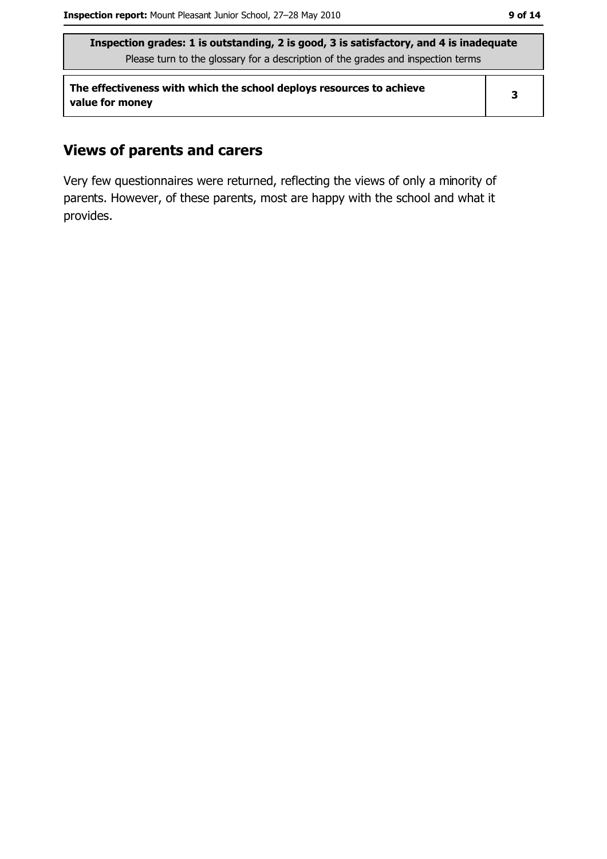The effectiveness with which the school deploys resources to achieve value for money

### **Views of parents and carers**

Very few questionnaires were returned, reflecting the views of only a minority of parents. However, of these parents, most are happy with the school and what it provides.

 $\overline{\mathbf{3}}$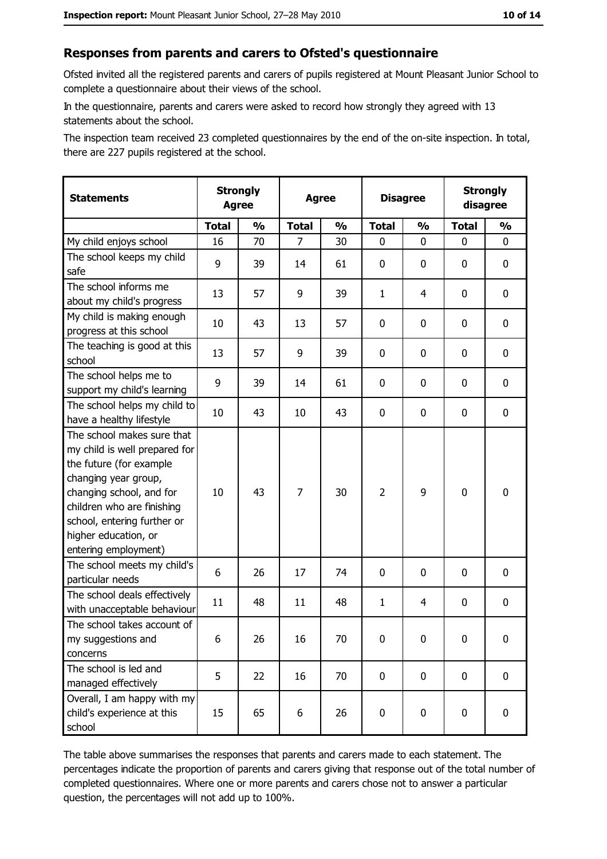#### Responses from parents and carers to Ofsted's questionnaire

Ofsted invited all the registered parents and carers of pupils registered at Mount Pleasant Junior School to complete a questionnaire about their views of the school.

In the questionnaire, parents and carers were asked to record how strongly they agreed with 13 statements about the school.

The inspection team received 23 completed questionnaires by the end of the on-site inspection. In total, there are 227 pupils registered at the school.

| <b>Statements</b>                                                                                                                                                                                                                                       |              | <b>Strongly</b><br><b>Disagree</b><br><b>Agree</b><br><b>Agree</b> |              |               |                |               |              | <b>Strongly</b><br>disagree |
|---------------------------------------------------------------------------------------------------------------------------------------------------------------------------------------------------------------------------------------------------------|--------------|--------------------------------------------------------------------|--------------|---------------|----------------|---------------|--------------|-----------------------------|
|                                                                                                                                                                                                                                                         | <b>Total</b> | $\frac{0}{0}$                                                      | <b>Total</b> | $\frac{0}{0}$ | <b>Total</b>   | $\frac{1}{2}$ | <b>Total</b> | $\frac{1}{2}$               |
| My child enjoys school                                                                                                                                                                                                                                  | 16           | 70                                                                 | 7            | 30            | 0              | 0             | 0            | 0                           |
| The school keeps my child<br>safe                                                                                                                                                                                                                       | 9            | 39                                                                 | 14           | 61            | $\mathbf 0$    | 0             | 0            | 0                           |
| The school informs me<br>about my child's progress                                                                                                                                                                                                      | 13           | 57                                                                 | 9            | 39            | $\mathbf{1}$   | 4             | 0            | 0                           |
| My child is making enough<br>progress at this school                                                                                                                                                                                                    | 10           | 43                                                                 | 13           | 57            | $\mathbf 0$    | 0             | 0            | 0                           |
| The teaching is good at this<br>school                                                                                                                                                                                                                  | 13           | 57                                                                 | 9            | 39            | 0              | 0             | 0            | 0                           |
| The school helps me to<br>support my child's learning                                                                                                                                                                                                   | 9            | 39                                                                 | 14           | 61            | $\mathbf 0$    | 0             | 0            | 0                           |
| The school helps my child to<br>have a healthy lifestyle                                                                                                                                                                                                | 10           | 43                                                                 | 10           | 43            | $\mathbf 0$    | 0             | 0            | $\mathbf 0$                 |
| The school makes sure that<br>my child is well prepared for<br>the future (for example<br>changing year group,<br>changing school, and for<br>children who are finishing<br>school, entering further or<br>higher education, or<br>entering employment) | 10           | 43                                                                 | 7            | 30            | $\overline{2}$ | 9             | $\mathbf 0$  | $\mathbf 0$                 |
| The school meets my child's<br>particular needs                                                                                                                                                                                                         | 6            | 26                                                                 | 17           | 74            | $\mathbf 0$    | 0             | 0            | 0                           |
| The school deals effectively<br>with unacceptable behaviour                                                                                                                                                                                             | 11           | 48                                                                 | 11           | 48            | $\mathbf{1}$   | 4             | 0            | 0                           |
| The school takes account of<br>my suggestions and<br>concerns                                                                                                                                                                                           | 6            | 26                                                                 | 16           | 70            | 0              | 0             | 0            | $\bf{0}$                    |
| The school is led and<br>managed effectively                                                                                                                                                                                                            | 5            | 22                                                                 | 16           | 70            | $\mathbf 0$    | $\mathbf 0$   | $\mathbf 0$  | 0                           |
| Overall, I am happy with my<br>child's experience at this<br>school                                                                                                                                                                                     | 15           | 65                                                                 | 6            | 26            | $\pmb{0}$      | 0             | 0            | 0                           |

The table above summarises the responses that parents and carers made to each statement. The percentages indicate the proportion of parents and carers giving that response out of the total number of completed questionnaires. Where one or more parents and carers chose not to answer a particular question, the percentages will not add up to 100%.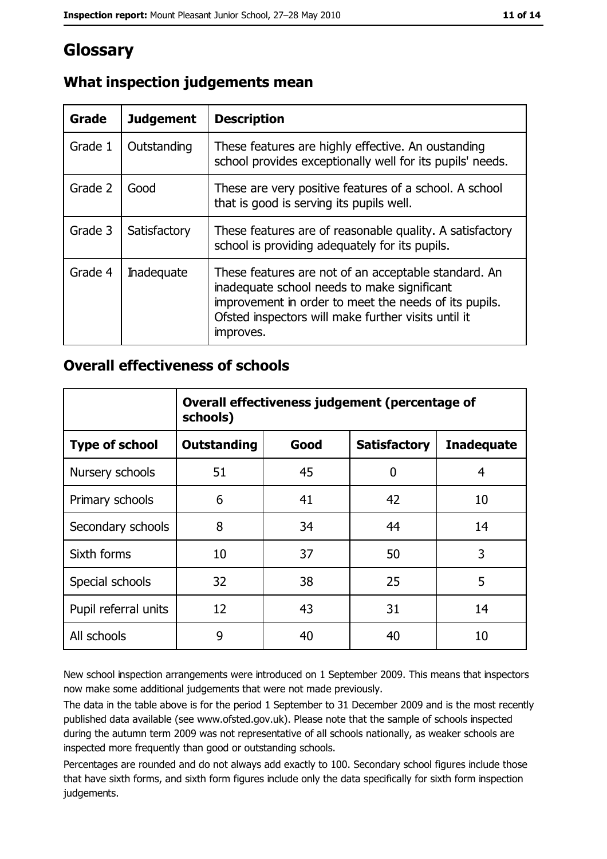# Glossary

| Grade   | <b>Judgement</b>  | <b>Description</b>                                                                                                                                                                                                               |
|---------|-------------------|----------------------------------------------------------------------------------------------------------------------------------------------------------------------------------------------------------------------------------|
| Grade 1 | Outstanding       | These features are highly effective. An oustanding<br>school provides exceptionally well for its pupils' needs.                                                                                                                  |
| Grade 2 | Good              | These are very positive features of a school. A school<br>that is good is serving its pupils well.                                                                                                                               |
| Grade 3 | Satisfactory      | These features are of reasonable quality. A satisfactory<br>school is providing adequately for its pupils.                                                                                                                       |
| Grade 4 | <b>Inadequate</b> | These features are not of an acceptable standard. An<br>inadequate school needs to make significant<br>improvement in order to meet the needs of its pupils.<br>Ofsted inspectors will make further visits until it<br>improves. |

# What inspection judgements mean

### **Overall effectiveness of schools**

|                       | Overall effectiveness judgement (percentage of<br>schools) |      |                     |                   |  |
|-----------------------|------------------------------------------------------------|------|---------------------|-------------------|--|
| <b>Type of school</b> | <b>Outstanding</b>                                         | Good | <b>Satisfactory</b> | <b>Inadequate</b> |  |
| Nursery schools       | 51                                                         | 45   | 0                   | 4                 |  |
| Primary schools       | 6                                                          | 41   | 42                  | 10                |  |
| Secondary schools     | 8                                                          | 34   | 44                  | 14                |  |
| Sixth forms           | 10                                                         | 37   | 50                  | 3                 |  |
| Special schools       | 32                                                         | 38   | 25                  | 5                 |  |
| Pupil referral units  | 12                                                         | 43   | 31                  | 14                |  |
| All schools           | 9                                                          | 40   | 40                  | 10                |  |

New school inspection arrangements were introduced on 1 September 2009. This means that inspectors now make some additional judgements that were not made previously.

The data in the table above is for the period 1 September to 31 December 2009 and is the most recently published data available (see www.ofsted.gov.uk). Please note that the sample of schools inspected during the autumn term 2009 was not representative of all schools nationally, as weaker schools are inspected more frequently than good or outstanding schools.

Percentages are rounded and do not always add exactly to 100. Secondary school figures include those that have sixth forms, and sixth form figures include only the data specifically for sixth form inspection judgements.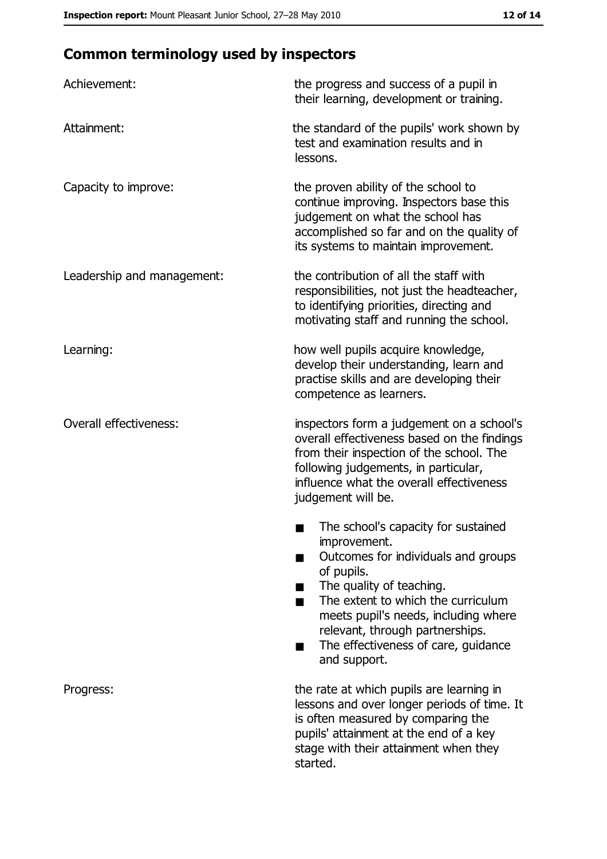# **Common terminology used by inspectors**

| Achievement:                  | the progress and success of a pupil in<br>their learning, development or training.                                                                                                                                                                                                                           |
|-------------------------------|--------------------------------------------------------------------------------------------------------------------------------------------------------------------------------------------------------------------------------------------------------------------------------------------------------------|
| Attainment:                   | the standard of the pupils' work shown by<br>test and examination results and in<br>lessons.                                                                                                                                                                                                                 |
| Capacity to improve:          | the proven ability of the school to<br>continue improving. Inspectors base this<br>judgement on what the school has<br>accomplished so far and on the quality of<br>its systems to maintain improvement.                                                                                                     |
| Leadership and management:    | the contribution of all the staff with<br>responsibilities, not just the headteacher,<br>to identifying priorities, directing and<br>motivating staff and running the school.                                                                                                                                |
| Learning:                     | how well pupils acquire knowledge,<br>develop their understanding, learn and<br>practise skills and are developing their<br>competence as learners.                                                                                                                                                          |
| <b>Overall effectiveness:</b> | inspectors form a judgement on a school's<br>overall effectiveness based on the findings<br>from their inspection of the school. The<br>following judgements, in particular,<br>influence what the overall effectiveness<br>judgement will be.                                                               |
|                               | The school's capacity for sustained<br>improvement.<br>Outcomes for individuals and groups<br>of pupils.<br>The quality of teaching.<br>The extent to which the curriculum<br>meets pupil's needs, including where<br>relevant, through partnerships.<br>The effectiveness of care, guidance<br>and support. |
| Progress:                     | the rate at which pupils are learning in<br>lessons and over longer periods of time. It<br>is often measured by comparing the<br>pupils' attainment at the end of a key<br>stage with their attainment when they<br>started.                                                                                 |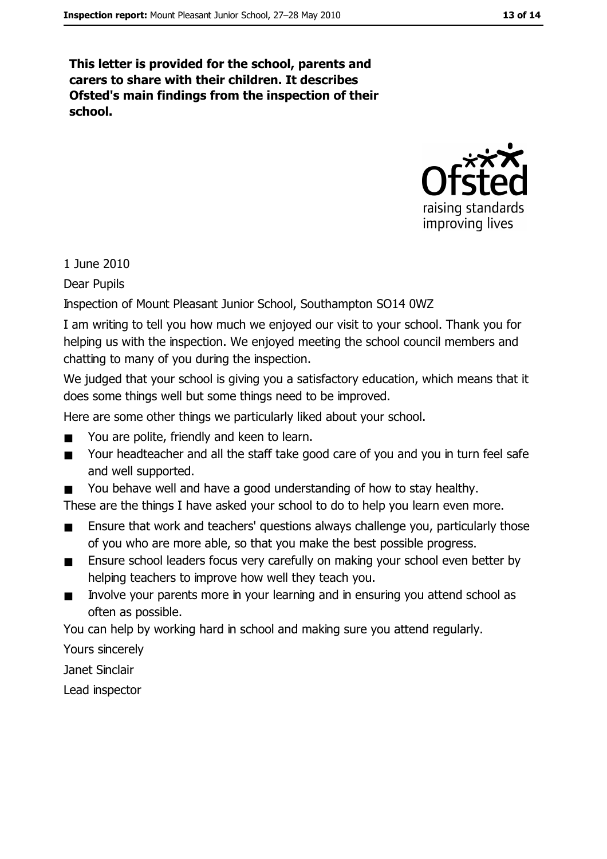This letter is provided for the school, parents and carers to share with their children. It describes Ofsted's main findings from the inspection of their school.



1 June 2010

**Dear Pupils** 

Inspection of Mount Pleasant Junior School, Southampton SO14 0WZ

I am writing to tell you how much we enjoyed our visit to your school. Thank you for helping us with the inspection. We enjoyed meeting the school council members and chatting to many of you during the inspection.

We judged that your school is giving you a satisfactory education, which means that it does some things well but some things need to be improved.

Here are some other things we particularly liked about your school.

- You are polite, friendly and keen to learn.  $\blacksquare$
- Your headteacher and all the staff take good care of you and you in turn feel safe  $\blacksquare$ and well supported.
- You behave well and have a good understanding of how to stay healthy.  $\blacksquare$

These are the things I have asked your school to do to help you learn even more.

- Ensure that work and teachers' questions always challenge you, particularly those  $\blacksquare$ of you who are more able, so that you make the best possible progress.
- Ensure school leaders focus very carefully on making your school even better by  $\blacksquare$ helping teachers to improve how well they teach you.
- Involve your parents more in your learning and in ensuring you attend school as  $\blacksquare$ often as possible.

You can help by working hard in school and making sure you attend regularly.

Yours sincerely

Janet Sinclair

Lead inspector